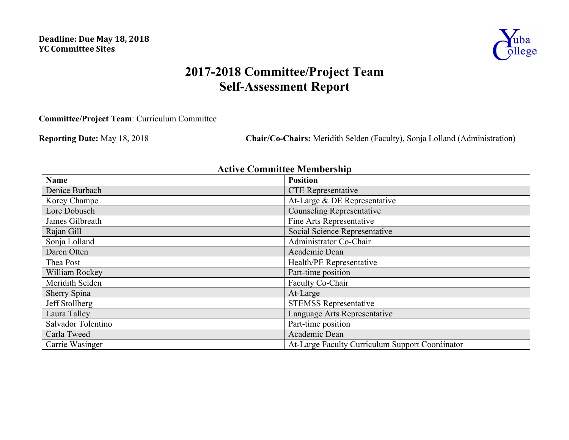

# **2017-2018 Committee/Project Team Self-Assessment Report**

**Committee/Project Team**: Curriculum Committee

**Reporting Date:** May 18, 2018 **Chair/Co-Chairs:** Meridith Selden (Faculty), Sonja Lolland (Administration)

# **Active Committee Membership**

| <b>Name</b>        | <b>Position</b>                                 |
|--------------------|-------------------------------------------------|
| Denice Burbach     | <b>CTE</b> Representative                       |
| Korey Champe       | At-Large & DE Representative                    |
| Lore Dobusch       | <b>Counseling Representative</b>                |
| James Gilbreath    | Fine Arts Representative                        |
| Rajan Gill         | Social Science Representative                   |
| Sonja Lolland      | Administrator Co-Chair                          |
| Daren Otten        | Academic Dean                                   |
| Thea Post          | Health/PE Representative                        |
| William Rockey     | Part-time position                              |
| Meridith Selden    | Faculty Co-Chair                                |
| Sherry Spina       | At-Large                                        |
| Jeff Stollberg     | <b>STEMSS Representative</b>                    |
| Laura Talley       | Language Arts Representative                    |
| Salvador Tolentino | Part-time position                              |
| Carla Tweed        | Academic Dean                                   |
| Carrie Wasinger    | At-Large Faculty Curriculum Support Coordinator |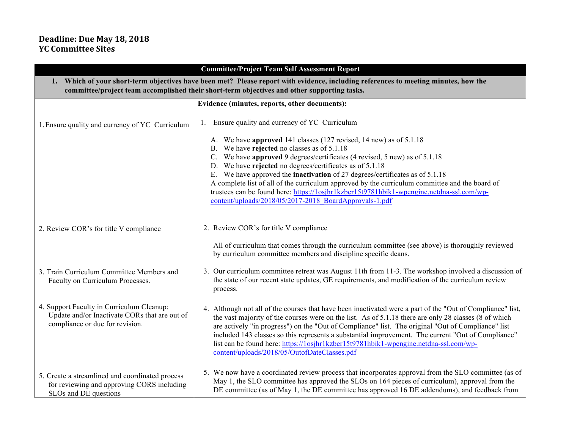## **Deadline: Due May 18, 2018 YC Committee Sites**

| <b>Committee/Project Team Self Assessment Report</b>                                                                                                                                                                               |                                                                                                                                                                                                                                                                                                                                                                                                                                                                                                                                                                         |  |
|------------------------------------------------------------------------------------------------------------------------------------------------------------------------------------------------------------------------------------|-------------------------------------------------------------------------------------------------------------------------------------------------------------------------------------------------------------------------------------------------------------------------------------------------------------------------------------------------------------------------------------------------------------------------------------------------------------------------------------------------------------------------------------------------------------------------|--|
| 1. Which of your short-term objectives have been met? Please report with evidence, including references to meeting minutes, how the<br>committee/project team accomplished their short-term objectives and other supporting tasks. |                                                                                                                                                                                                                                                                                                                                                                                                                                                                                                                                                                         |  |
|                                                                                                                                                                                                                                    | Evidence (minutes, reports, other documents):                                                                                                                                                                                                                                                                                                                                                                                                                                                                                                                           |  |
| 1. Ensure quality and currency of YC Curriculum                                                                                                                                                                                    | Ensure quality and currency of YC Curriculum                                                                                                                                                                                                                                                                                                                                                                                                                                                                                                                            |  |
|                                                                                                                                                                                                                                    | A. We have approved 141 classes (127 revised, 14 new) as of 5.1.18                                                                                                                                                                                                                                                                                                                                                                                                                                                                                                      |  |
|                                                                                                                                                                                                                                    | B. We have rejected no classes as of 5.1.18                                                                                                                                                                                                                                                                                                                                                                                                                                                                                                                             |  |
|                                                                                                                                                                                                                                    | C. We have approved 9 degrees/certificates (4 revised, 5 new) as of 5.1.18<br>D. We have rejected no degrees/certificates as of 5.1.18                                                                                                                                                                                                                                                                                                                                                                                                                                  |  |
|                                                                                                                                                                                                                                    | E. We have approved the <b>inactivation</b> of 27 degrees/certificates as of 5.1.18                                                                                                                                                                                                                                                                                                                                                                                                                                                                                     |  |
|                                                                                                                                                                                                                                    | A complete list of all of the curriculum approved by the curriculum committee and the board of<br>trustees can be found here: https://1osjhr1kzber15t9781hbik1-wpengine.netdna-ssl.com/wp-<br>content/uploads/2018/05/2017-2018 BoardApprovals-1.pdf                                                                                                                                                                                                                                                                                                                    |  |
| 2. Review COR's for title V compliance                                                                                                                                                                                             | 2. Review COR's for title V compliance                                                                                                                                                                                                                                                                                                                                                                                                                                                                                                                                  |  |
|                                                                                                                                                                                                                                    | All of curriculum that comes through the curriculum committee (see above) is thoroughly reviewed<br>by curriculum committee members and discipline specific deans.                                                                                                                                                                                                                                                                                                                                                                                                      |  |
| 3. Train Curriculum Committee Members and<br>Faculty on Curriculum Processes.                                                                                                                                                      | 3. Our curriculum committee retreat was August 11th from 11-3. The workshop involved a discussion of<br>the state of our recent state updates, GE requirements, and modification of the curriculum review<br>process.                                                                                                                                                                                                                                                                                                                                                   |  |
| 4. Support Faculty in Curriculum Cleanup:<br>Update and/or Inactivate CORs that are out of<br>compliance or due for revision.                                                                                                      | 4. Although not all of the courses that have been inactivated were a part of the "Out of Compliance" list,<br>the vast majority of the courses were on the list. As of 5.1.18 there are only 28 classes (8 of which<br>are actively "in progress") on the "Out of Compliance" list. The original "Out of Compliance" list<br>included 143 classes so this represents a substantial improvement. The current "Out of Compliance"<br>list can be found here: https://1osjhr1kzber15t9781hbik1-wpengine.netdna-ssl.com/wp-<br>content/uploads/2018/05/OutofDateClasses.pdf |  |
| 5. Create a streamlined and coordinated process<br>for reviewing and approving CORS including<br>SLOs and DE questions                                                                                                             | 5. We now have a coordinated review process that incorporates approval from the SLO committee (as of<br>May 1, the SLO committee has approved the SLOs on 164 pieces of curriculum), approval from the<br>DE committee (as of May 1, the DE committee has approved 16 DE addendums), and feedback from                                                                                                                                                                                                                                                                  |  |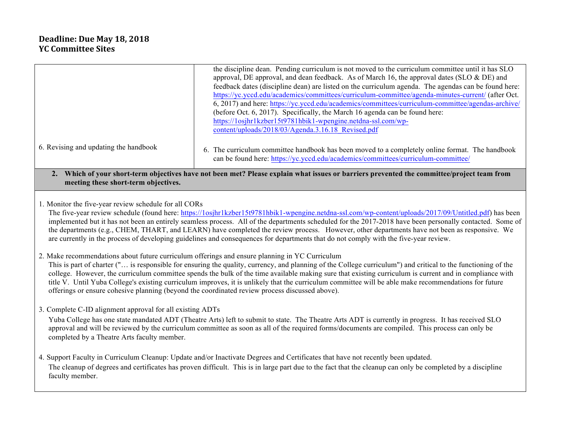### **Deadline: Due May 18, 2018 YC Committee Sites**

| 6. Revising and updating the handbook                                                                                                                                                                                                                                                                                                                                                                                                                                                                                                                                                                                                                              | the discipline dean. Pending curriculum is not moved to the curriculum committee until it has SLO<br>approval, DE approval, and dean feedback. As of March 16, the approval dates (SLO $\&$ DE) and<br>feedback dates (discipline dean) are listed on the curriculum agenda. The agendas can be found here:<br>https://yc.yccd.edu/academics/committees/curriculum-committee/agenda-minutes-current/ (after Oct.<br>6, 2017) and here: https://yc.yccd.edu/academics/committees/curriculum-committee/agendas-archive/<br>(before Oct. 6, 2017). Specifically, the March 16 agenda can be found here:<br>https://1osjhr1kzber15t9781hbik1-wpengine.netdna-ssl.com/wp-<br>content/uploads/2018/03/Agenda.3.16.18 Revised.pdf<br>The curriculum committee handbook has been moved to a completely online format. The handbook<br>can be found here: https://yc.yccd.edu/academics/committees/curriculum-committee/ |  |
|--------------------------------------------------------------------------------------------------------------------------------------------------------------------------------------------------------------------------------------------------------------------------------------------------------------------------------------------------------------------------------------------------------------------------------------------------------------------------------------------------------------------------------------------------------------------------------------------------------------------------------------------------------------------|-----------------------------------------------------------------------------------------------------------------------------------------------------------------------------------------------------------------------------------------------------------------------------------------------------------------------------------------------------------------------------------------------------------------------------------------------------------------------------------------------------------------------------------------------------------------------------------------------------------------------------------------------------------------------------------------------------------------------------------------------------------------------------------------------------------------------------------------------------------------------------------------------------------------|--|
| Which of your short-term objectives have not been met? Please explain what issues or barriers prevented the committee/project team from<br>meeting these short-term objectives.                                                                                                                                                                                                                                                                                                                                                                                                                                                                                    |                                                                                                                                                                                                                                                                                                                                                                                                                                                                                                                                                                                                                                                                                                                                                                                                                                                                                                                 |  |
| 1. Monitor the five-year review schedule for all CORs<br>The five-year review schedule (found here: https://1osjhr1kzber15t9781hbik1-wpengine.netdna-ssl.com/wp-content/uploads/2017/09/Untitled.pdf) has been<br>implemented but it has not been an entirely seamless process. All of the departments scheduled for the 2017-2018 have been personally contacted. Some of<br>the departments (e.g., CHEM, THART, and LEARN) have completed the review process. However, other departments have not been as responsive. We<br>are currently in the process of developing guidelines and consequences for departments that do not comply with the five-year review. |                                                                                                                                                                                                                                                                                                                                                                                                                                                                                                                                                                                                                                                                                                                                                                                                                                                                                                                 |  |

2. Make recommendations about future curriculum offerings and ensure planning in YC Curriculum This is part of charter ("… is responsible for ensuring the quality, currency, and planning of the College curriculum") and critical to the functioning of the college. However, the curriculum committee spends the bulk of the time available making sure that existing curriculum is current and in compliance with title V. Until Yuba College's existing curriculum improves, it is unlikely that the curriculum committee will be able make recommendations for future offerings or ensure cohesive planning (beyond the coordinated review process discussed above).

3. Complete C-ID alignment approval for all existing ADTs

Yuba College has one state mandated ADT (Theatre Arts) left to submit to state. The Theatre Arts ADT is currently in progress. It has received SLO approval and will be reviewed by the curriculum committee as soon as all of the required forms/documents are compiled. This process can only be completed by a Theatre Arts faculty member.

4. Support Faculty in Curriculum Cleanup: Update and/or Inactivate Degrees and Certificates that have not recently been updated. The cleanup of degrees and certificates has proven difficult. This is in large part due to the fact that the cleanup can only be completed by a discipline faculty member.